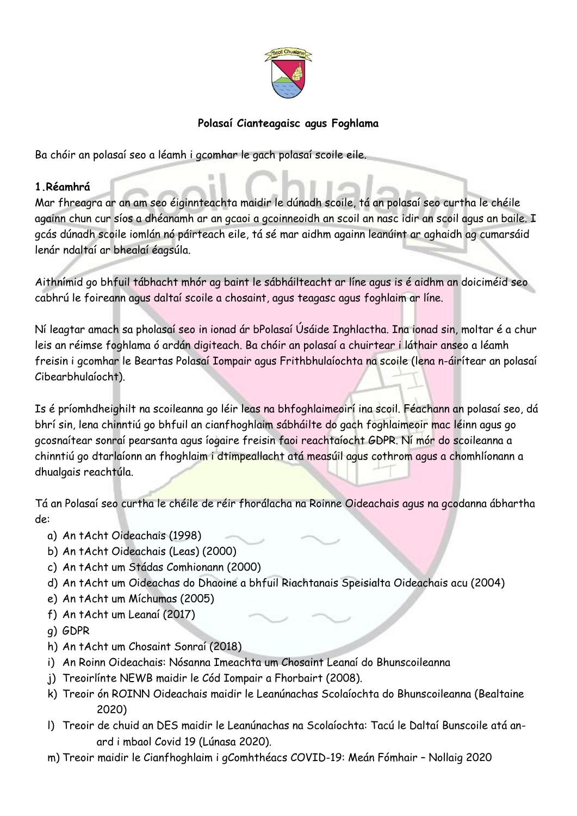

## **Polasaí Cianteagaisc agus Foghlama**

Ba chóir an polasaí seo a léamh i gcomhar le gach polasaí scoile eile.

#### **1.Réamhrá**

Mar fhreagra ar an am seo éiginnteachta maidir le dúnadh scoile, tá an polasaí seo curtha le chéile againn chun cur síos a dhéanamh ar an gcaoi a gcoinneoidh an scoil an nasc idir an scoil agus an baile. I gcás dúnadh scoile iomlán nó páirteach eile, tá sé mar aidhm againn leanúint ar aghaidh ag cumarsáid lenár ndaltaí ar bhealaí éagsúla.

Aithnímid go bhfuil tábhacht mhór ag baint le sábháilteacht ar líne agus is é aidhm an doiciméid seo cabhrú le foireann agus daltaí scoile a chosaint, agus teagasc agus foghlaim ar líne.

Ní leagtar amach sa pholasaí seo in ionad ár bPolasaí Úsáide Inghlactha. Ina ionad sin, moltar é a chur leis an réimse foghlama ó ardán digiteach. Ba chóir an polasaí a chuirtear i láthair anseo a léamh freisin i gcomhar le Beartas Polasaí Iompair agus Frithbhulaíochta na scoile (lena n-áirítear an polasaí Cibearbhulaíocht).

Is é príomhdheighilt na scoileanna go léir leas na bhfoghlaimeoirí ina scoil. Féachann an polasaí seo, dá bhrí sin, lena chinntiú go bhfuil an cianfhoghlaim sábháilte do gach foghlaimeoir mac léinn agus go gcosnaítear sonraí pearsanta agus íogaire freisin faoi reachtaíocht GDPR. Ní mór do scoileanna a chinntiú go dtarlaíonn an fhoghlaim i dtimpeallacht atá measúil agus cothrom agus a chomhlíonann a dhualgais reachtúla.

Tá an Polasaí seo curtha le chéile de réir fhorálacha na Roinne Oideachais agus na gcodanna ábhartha de:

- a) An tAcht Oideachais (1998)
- b) An tAcht Oideachais (Leas) (2000)
- c) An tAcht um Stádas Comhionann (2000)
- d) An tAcht um Oideachas do Dhaoine a bhfuil Riachtanais Speisialta Oideachais acu (2004)
- e) An tAcht um Míchumas (2005)
- f) An tAcht um Leanaí (2017)
- g) GDPR
- h) An tAcht um Chosaint Sonraí (2018)
- i) An Roinn Oideachais: Nósanna Imeachta um Chosaint Leanaí do Bhunscoileanna
- j) Treoirlínte NEWB maidir le Cód Iompair a Fhorbairt (2008).
- k) Treoir ón ROINN Oideachais maidir le Leanúnachas Scolaíochta do Bhunscoileanna (Bealtaine 2020)
- l) Treoir de chuid an DES maidir le Leanúnachas na Scolaíochta: Tacú le Daltaí Bunscoile atá anard i mbaol Covid 19 (Lúnasa 2020).
- m) Treoir maidir le Cianfhoghlaim i gComhthéacs COVID-19: Meán Fómhair Nollaig 2020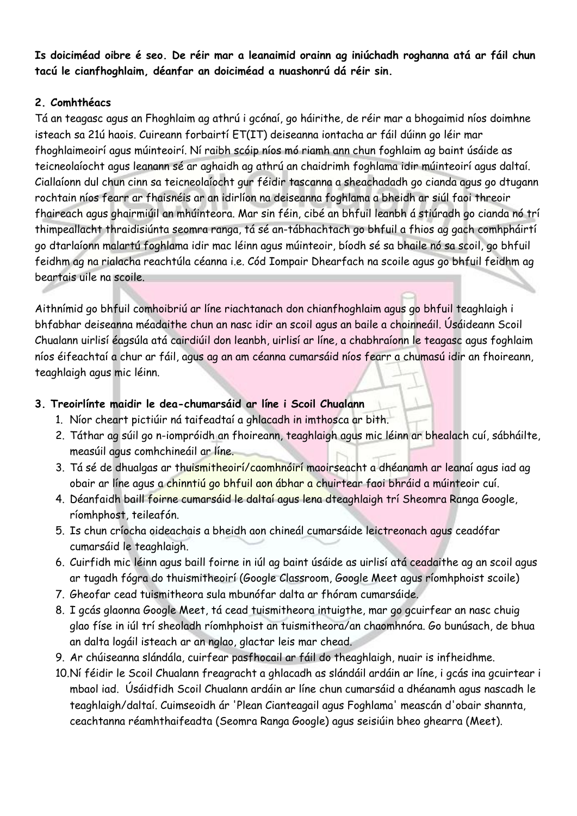**Is doiciméad oibre é seo. De réir mar a leanaimid orainn ag iniúchadh roghanna atá ar fáil chun tacú le cianfhoghlaim, déanfar an doiciméad a nuashonrú dá réir sin.**

## **2. Comhthéacs**

Tá an teagasc agus an Fhoghlaim ag athrú i gcónaí, go háirithe, de réir mar a bhogaimid níos doimhne isteach sa 21ú haois. Cuireann forbairtí ET(IT) deiseanna iontacha ar fáil dúinn go léir mar fhoghlaimeoirí agus múinteoirí. Ní raibh scóip níos mó riamh ann chun foghlaim ag baint úsáide as teicneolaíocht agus leanann sé ar aghaidh ag athrú an chaidrimh foghlama idir múinteoirí agus daltaí. Ciallaíonn dul chun cinn sa teicneolaíocht gur féidir tascanna a sheachadadh go cianda agus go dtugann rochtain níos fearr ar fhaisnéis ar an idirlíon na deiseanna foghlama a bheidh ar siúl faoi threoir fhaireach agus ghairmiúil an mhúinteora. Mar sin féin, cibé an bhfuil leanbh á stiúradh go cianda nó trí thimpeallacht thraidisiúnta seomra ranga, tá sé an-tábhachtach go bhfuil a fhios ag gach comhpháirtí go dtarlaíonn malartú foghlama idir mac léinn agus múinteoir, bíodh sé sa bhaile nó sa scoil, go bhfuil feidhm ag na rialacha reachtúla céanna i.e. Cód Iompair Dhearfach na scoile agus go bhfuil feidhm ag beartais uile na scoile.

Aithnímid go bhfuil comhoibriú ar líne riachtanach don chianfhoghlaim agus go bhfuil teaghlaigh i bhfabhar deiseanna méadaithe chun an nasc idir an scoil agus an baile a choinneáil. Úsáideann Scoil Chualann uirlisí éagsúla atá cairdiúil don leanbh, uirlisí ar líne, a chabhraíonn le teagasc agus foghlaim níos éifeachtaí a chur ar fáil, agus ag an am céanna cumarsáid níos fearr a chumasú idir an fhoireann, teaghlaigh agus mic léinn.

# **3. Treoirlínte maidir le dea-chumarsáid ar líne i Scoil Chualann**

- 1. Níor cheart pictiúir ná taifeadtaí a ghlacadh in imthosca ar bith.
- 2. Táthar ag súil go n-iompróidh an fhoireann, teaghlaigh agus mic léinn ar bhealach cuí, sábháilte, measúil agus comhchineáil ar líne.
- 3. Tá sé de dhualgas ar thuismitheoirí/caomhnóirí maoirseacht a dhéanamh ar leanaí agus iad ag obair ar líne agus a chinntiú go bhfuil aon ábhar a chuirtear faoi bhráid a múinteoir cuí.
- 4. Déanfaidh baill foirne cumarsáid le daltaí agus lena dteaghlaigh trí Sheomra Ranga Google, ríomhphost, teileafón.
- 5. Is chun críocha oideachais a bheidh aon chineál cumarsáide leictreonach agus ceadófar cumarsáid le teaghlaigh.
- 6. Cuirfidh mic léinn agus baill foirne in iúl ag baint úsáide as uirlisí atá ceadaithe ag an scoil agus ar tugadh fógra do thuismitheoirí (Google Classroom, Google Meet agus ríomhphoist scoile)
- 7. Gheofar cead tuismitheora sula mbunófar dalta ar fhóram cumarsáide.
- 8. I gcás glaonna Google Meet, tá cead tuismitheora intuigthe, mar go gcuirfear an nasc chuig glao físe in iúl trí sheoladh ríomhphoist an tuismitheora/an chaomhnóra. Go bunúsach, de bhua an dalta logáil isteach ar an nglao, glactar leis mar chead.
- 9. Ar chúiseanna slándála, cuirfear pasfhocail ar fáil do theaghlaigh, nuair is infheidhme.
- 10.Ní féidir le Scoil Chualann freagracht a ghlacadh as slándáil ardáin ar líne, i gcás ina gcuirtear i mbaol iad. Úsáidfidh Scoil Chualann ardáin ar líne chun cumarsáid a dhéanamh agus nascadh le teaghlaigh/daltaí. Cuimseoidh ár 'Plean Cianteagail agus Foghlama' meascán d'obair shannta, ceachtanna réamhthaifeadta (Seomra Ranga Google) agus seisiúin bheo ghearra (Meet).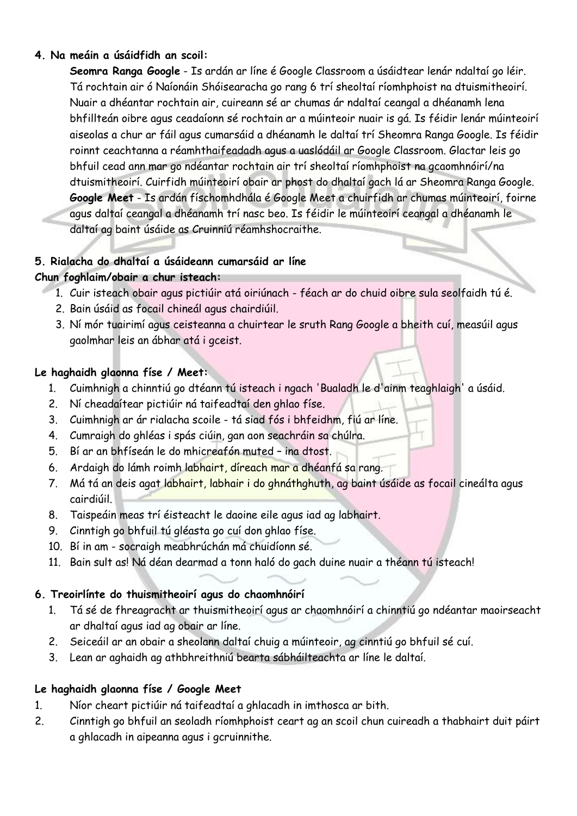#### **4. Na meáin a úsáidfidh an scoil:**

**Seomra Ranga Google** - Is ardán ar líne é Google Classroom a úsáidtear lenár ndaltaí go léir. Tá rochtain air ó Naíonáin Shóisearacha go rang 6 trí sheoltaí ríomhphoist na dtuismitheoirí. Nuair a dhéantar rochtain air, cuireann sé ar chumas ár ndaltaí ceangal a dhéanamh lena bhfillteán oibre agus ceadaíonn sé rochtain ar a múinteoir nuair is gá. Is féidir lenár múinteoirí aiseolas a chur ar fáil agus cumarsáid a dhéanamh le daltaí trí Sheomra Ranga Google. Is féidir roinnt ceachtanna a réamhthaifeadadh agus a uaslódáil ar Google Classroom. Glactar leis go bhfuil cead ann mar go ndéantar rochtain air trí sheoltaí ríomhphoist na gcaomhnóirí/na dtuismitheoirí. Cuirfidh múinteoirí obair ar phost do dhaltaí gach lá ar Sheomra Ranga Google. **Google Meet** - Is ardán físchomhdhála é Google Meet a chuirfidh ar chumas múinteoirí, foirne agus daltaí ceangal a dhéanamh trí nasc beo. Is féidir le múinteoirí ceangal a dhéanamh le daltaí ag baint úsáide as Cruinniú réamhshocraithe.

#### **5. Rialacha do dhaltaí a úsáideann cumarsáid ar líne**

#### **Chun foghlaim/obair a chur isteach:**

- 1. Cuir isteach obair agus pictiúir atá oiriúnach féach ar do chuid oibre sula seolfaidh tú é.
- 2. Bain úsáid as focail chineál agus chairdiúil.
- 3. Ní mór tuairimí agus ceisteanna a chuirtear le sruth Rang Google a bheith cuí, measúil agus gaolmhar leis an ábhar atá i gceist.

## **Le haghaidh glaonna físe / Meet:**

- 1. Cuimhnigh a chinntiú go dtéann tú isteach i ngach 'Bualadh le d'ainm teaghlaigh' a úsáid.
- 2. Ní cheadaítear pictiúir ná taifeadtaí den ghlao físe.
- 3. Cuimhnigh ar ár rialacha scoile tá siad fós i bhfeidhm, fiú ar líne.
- 4. Cumraigh do ghléas i spás ciúin, gan aon seachráin sa chúlra.
- 5. Bí ar an bhfíseán le do mhicreafón muted ina dtost.
- 6. Ardaigh do lámh roimh labhairt, díreach mar a dhéanfá sa rang.
- 7. Má tá an deis agat labhairt, labhair i do ghnáthghuth, ag baint úsáide as focail cineálta agus cairdiúil.
- 8. Taispeáin meas trí éisteacht le daoine eile agus iad ag labhairt.
- 9. Cinntigh go bhfuil tú gléasta go cuí don ghlao físe.
- 10. Bí in am socraigh meabhrúchán má chuidíonn sé.
- 11. Bain sult as! Ná déan dearmad a tonn haló do gach duine nuair a théann tú isteach!

#### **6. Treoirlínte do thuismitheoirí agus do chaomhnóirí**

- 1. Tá sé de fhreagracht ar thuismitheoirí agus ar chaomhnóirí a chinntiú go ndéantar maoirseacht ar dhaltaí agus iad ag obair ar líne.
- 2. Seiceáil ar an obair a sheolann daltaí chuig a múinteoir, ag cinntiú go bhfuil sé cuí.
- 3. Lean ar aghaidh ag athbhreithniú bearta sábháilteachta ar líne le daltaí.

# **Le haghaidh glaonna físe / Google Meet**

- 1. Níor cheart pictiúir ná taifeadtaí a ghlacadh in imthosca ar bith.
- 2. Cinntigh go bhfuil an seoladh ríomhphoist ceart ag an scoil chun cuireadh a thabhairt duit páirt a ghlacadh in aipeanna agus i gcruinnithe.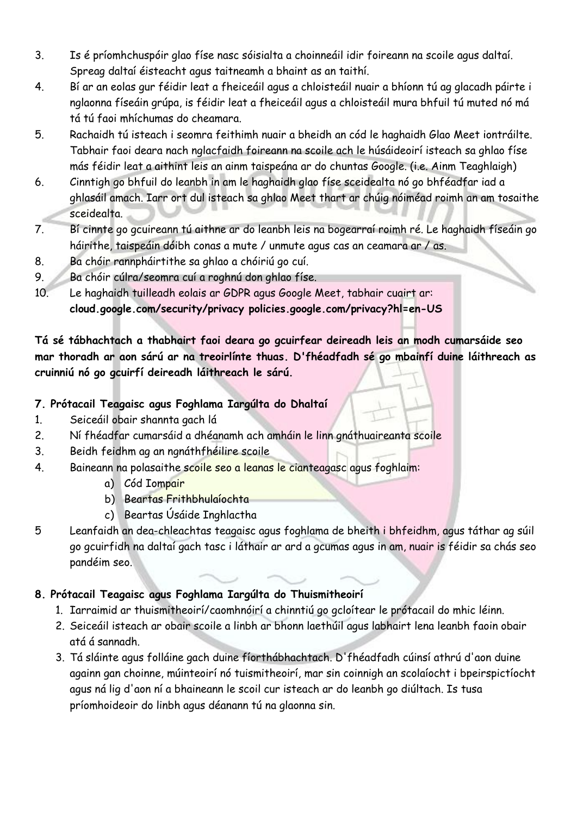- 3. Is é príomhchuspóir glao físe nasc sóisialta a choinneáil idir foireann na scoile agus daltaí. Spreag daltaí éisteacht agus taitneamh a bhaint as an taithí.
- 4. Bí ar an eolas gur féidir leat a fheiceáil agus a chloisteáil nuair a bhíonn tú ag glacadh páirte i nglaonna físeáin grúpa, is féidir leat a fheiceáil agus a chloisteáil mura bhfuil tú muted nó má tá tú faoi mhíchumas do cheamara.
- 5. Rachaidh tú isteach i seomra feithimh nuair a bheidh an cód le haghaidh Glao Meet iontráilte. Tabhair faoi deara nach nglacfaidh foireann na scoile ach le húsáideoirí isteach sa ghlao físe más féidir leat a aithint leis an ainm taispeána ar do chuntas Google. (i.e. Ainm Teaghlaigh)
- 6. Cinntigh go bhfuil do leanbh in am le haghaidh glao físe sceidealta nó go bhféadfar iad a ghlasáil amach. Iarr ort dul isteach sa ghlao Meet thart ar chúig nóiméad roimh an am tosaithe sceidealta.
- 7. Bí cinnte go gcuireann tú aithne ar do leanbh leis na bogearraí roimh ré. Le haghaidh físeáin go háirithe, taispeáin dóibh conas a mute / unmute agus cas an ceamara ar / as.
- 8. Ba chóir rannpháirtithe sa ghlao a chóiriú go cuí.
- 9. Ba chóir cúlra/seomra cuí a roghnú don ghlao físe.
- 10. Le haghaidh tuilleadh eolais ar GDPR agus Google Meet, tabhair cuairt ar: **cloud.google.com/security/privacy policies.google.com/privacy?hl=en-US**

**Tá sé tábhachtach a thabhairt faoi deara go gcuirfear deireadh leis an modh cumarsáide seo mar thoradh ar aon sárú ar na treoirlínte thuas. D'fhéadfadh sé go mbainfí duine láithreach as cruinniú nó go gcuirfí deireadh láithreach le sárú.**

# **7. Prótacail Teagaisc agus Foghlama Iargúlta do Dhaltaí**

- 1. Seiceáil obair shannta gach lá
- 2. Ní fhéadfar cumarsáid a dhéanamh ach amháin le linn gnáthuaireanta scoile
- 3. Beidh feidhm ag an ngnáthfhéilire scoile
- 4. Baineann na polasaithe scoile seo a leanas le cianteagasc agus foghlaim:
	- a) Cód Iompair
	- b) Beartas Frithbhulaíochta
	- c) Beartas Úsáide Inghlactha
- 5 Leanfaidh an dea-chleachtas teagaisc agus foghlama de bheith i bhfeidhm, agus táthar ag súil go gcuirfidh na daltaí gach tasc i láthair ar ard a gcumas agus in am, nuair is féidir sa chás seo pandéim seo.

# **8. Prótacail Teagaisc agus Foghlama Iargúlta do Thuismitheoirí**

- 1. Iarraimid ar thuismitheoirí/caomhnóirí a chinntiú go gcloítear le prótacail do mhic léinn.
- 2. Seiceáil isteach ar obair scoile a linbh ar bhonn laethúil agus labhairt lena leanbh faoin obair atá á sannadh.
- 3. Tá sláinte agus folláine gach duine fíorthábhachtach. D'fhéadfadh cúinsí athrú d'aon duine againn gan choinne, múinteoirí nó tuismitheoirí, mar sin coinnigh an scolaíocht i bpeirspictíocht agus ná lig d'aon ní a bhaineann le scoil cur isteach ar do leanbh go diúltach. Is tusa príomhoideoir do linbh agus déanann tú na glaonna sin.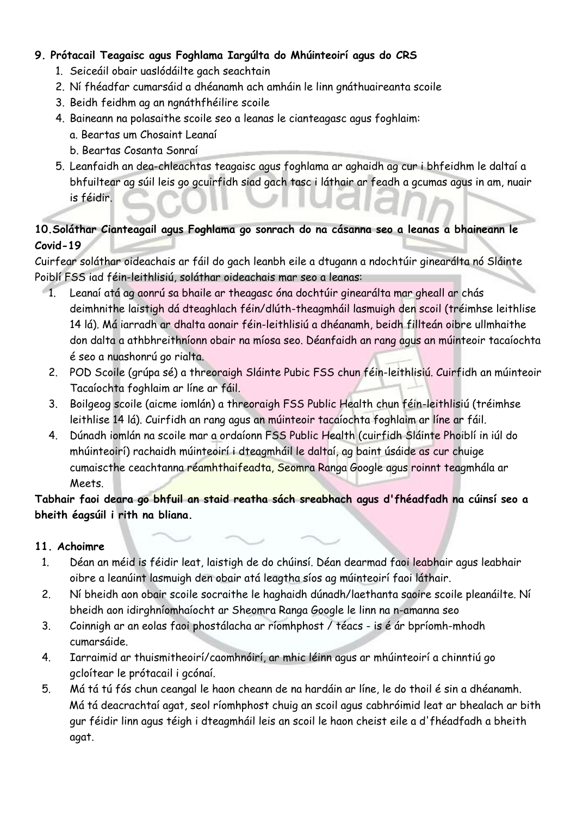## **9. Prótacail Teagaisc agus Foghlama Iargúlta do Mhúinteoirí agus do CRS**

- 1. Seiceáil obair uaslódáilte gach seachtain
- 2. Ní fhéadfar cumarsáid a dhéanamh ach amháin le linn gnáthuaireanta scoile
- 3. Beidh feidhm ag an ngnáthfhéilire scoile
- 4. Baineann na polasaithe scoile seo a leanas le cianteagasc agus foghlaim:
	- a. Beartas um Chosaint Leanaí
	- b. Beartas Cosanta Sonraí
- 5. Leanfaidh an dea-chleachtas teagaisc agus foghlama ar aghaidh ag cur i bhfeidhm le daltaí a bhfuiltear ag súil leis go gcuirfidh siad gach tasc i láthair ar feadh a gcumas agus in am, nuair is féidir.

# **10.Soláthar Cianteagail agus Foghlama go sonrach do na cásanna seo a leanas a bhaineann le Covid-19**

Cuirfear soláthar oideachais ar fáil do gach leanbh eile a dtugann a ndochtúir ginearálta nó Sláinte Poiblí FSS iad féin-leithlisiú, soláthar oideachais mar seo a leanas:

- 1. Leanaí atá ag aonrú sa bhaile ar theagasc óna dochtúir ginearálta mar gheall ar chás deimhnithe laistigh dá dteaghlach féin/dlúth-theagmháil lasmuigh den scoil (tréimhse leithlise 14 lá). Má iarradh ar dhalta aonair féin-leithlisiú a dhéanamh, beidh fillteán oibre ullmhaithe don dalta a athbhreithníonn obair na míosa seo. Déanfaidh an rang agus an múinteoir tacaíochta é seo a nuashonrú go rialta.
	- 2. POD Scoile (grúpa sé) a threoraigh Sláinte Pubic FSS chun féin-leithlisiú. Cuirfidh an múinteoir Tacaíochta foghlaim ar líne ar fáil.
	- 3. Boilgeog scoile (aicme iomlán) a threoraigh FSS Public Health chun féin-leithlisiú (tréimhse leithlise 14 lá). Cuirfidh an rang agus an múinteoir tacaíochta foghlaim ar líne ar fáil.
	- 4. Dúnadh iomlán na scoile mar a ordaíonn FSS Public Health (cuirfidh Sláinte Phoiblí in iúl do mhúinteoirí) rachaidh múinteoirí i dteagmháil le daltaí, ag baint úsáide as cur chuige cumaiscthe ceachtanna réamhthaifeadta, Seomra Ranga Google agus roinnt teagmhála ar Meets.

**Tabhair faoi deara go bhfuil an staid reatha sách sreabhach agus d'fhéadfadh na cúinsí seo a bheith éagsúil i rith na bliana.** 

#### **11. Achoimre**

- 1. Déan an méid is féidir leat, laistigh de do chúinsí. Déan dearmad faoi leabhair agus leabhair oibre a leanúint lasmuigh den obair atá leagtha síos ag múinteoirí faoi láthair.
- 2. Ní bheidh aon obair scoile socraithe le haghaidh dúnadh/laethanta saoire scoile pleanáilte. Ní bheidh aon idirghníomhaíocht ar Sheomra Ranga Google le linn na n-amanna seo
- 3. Coinnigh ar an eolas faoi phostálacha ar ríomhphost / téacs is é ár bpríomh-mhodh cumarsáide.
- 4. Iarraimid ar thuismitheoirí/caomhnóirí, ar mhic léinn agus ar mhúinteoirí a chinntiú go gcloítear le prótacail i gcónaí.
- 5. Má tá tú fós chun ceangal le haon cheann de na hardáin ar líne, le do thoil é sin a dhéanamh. Má tá deacrachtaí agat, seol ríomhphost chuig an scoil agus cabhróimid leat ar bhealach ar bith gur féidir linn agus téigh i dteagmháil leis an scoil le haon cheist eile a d'fhéadfadh a bheith agat.